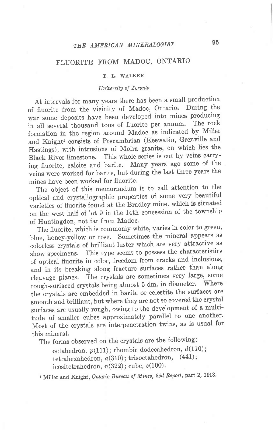## THE AMERICAN MINERALOGIST 95

## FLUORITE FROM MADOC, ONTARIO

## T. L. WALKER

## University of Toronto

At intervals for many years there has been a small production of fluorite from the vicinity of Madoc, Ontario. During the war some deposits have been developed into mines producing in all several thousand tons of fluorite per annum. The rock formation in the region around Madoc as indicated by MiIIer and Knight<sup>1</sup> consists of Precambrian (Keewatin, Grenville and Hastings), with intrusions of Moira granite, on which lies the Black River limestone. This whole series is cut by veins carrying fluorite, calcite and barite. Many years ago some of the veins were worked for barite, but during the last three years the mines have been worked for fluorite.

The object of this memorandum is to call attention to the optical and crystallographic properties of some very beautiful varieties of fluorite found at the Bradley mine, which is situated on the west half of lot 9 in the 14th concession of the township of Huntingdon, not far from Madoc.

The fluorite, which is commonly white, varies in color to green, blue, honey-yellow or rose. Sometimes the mineral appears as colorless crystals of brilliant luster which are very attractive as show specimens. This type seems to possess the characteristics of optical fluorite in color, freedom from cracks and inclusions, and in its breaking along fracture surfaces rather than along cleavage planes. The crystals are sometimes very large, some rough-surfaced crystals being almost 5 dm. in diameter. Where the crystals are embedded in barite or celestite the surfaces are smooth and brilliant, but where they are not so covered the crystal surfaces are usually rough, owing to the development of a multitude of smaller cubes approximately parallel to one another. Most of the crystals are interpenetration twins, as is usual for this mineral.

The forms observed on the crystals are the following:

octahedron,  $p(111)$ ; rhombic dodecahedron,  $d(110)$ ; tetrahexahedron,  $a(310)$ ; trisoctahedron,  $(441)$ ; icositetrahedron,  $n(322)$ ; cube,  $c(100)$ .

<sup>1</sup> Miller and Knight, Ontario Bureau of Mines, 22d Report, part 2, 1913.